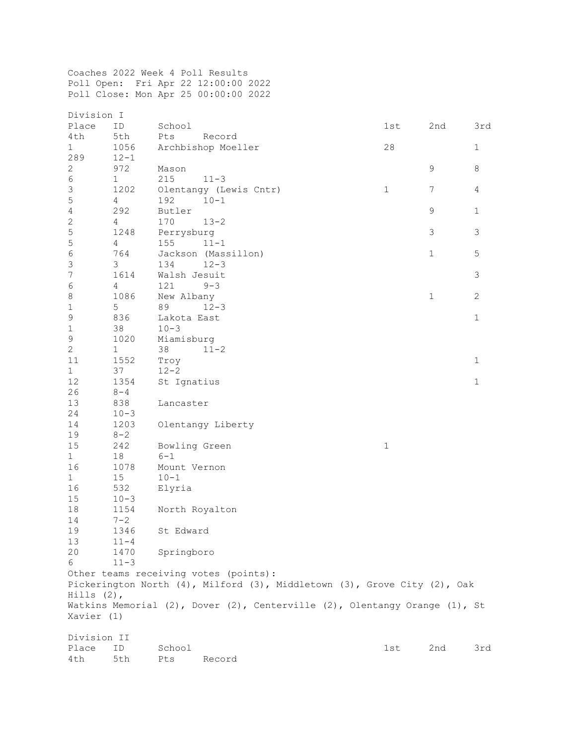Coaches 2022 Week 4 Poll Results Poll Open: Fri Apr 22 12:00:00 2022 Poll Close: Mon Apr 25 00:00:00 2022

| Division I                                                                 |                |                        |              |              |                |  |  |
|----------------------------------------------------------------------------|----------------|------------------------|--------------|--------------|----------------|--|--|
| Place                                                                      | ID             | School                 | 1st          | 2nd          | 3rd            |  |  |
| 4th                                                                        | 5th            | Pts<br>Record          |              |              |                |  |  |
| $\mathbf{1}$                                                               | 1056           | Archbishop Moeller     | 28           |              | $\mathbf 1$    |  |  |
| 289                                                                        | $12 - 1$       |                        |              |              |                |  |  |
| $\sqrt{2}$                                                                 | 972            | Mason                  |              | 9            | $\,8\,$        |  |  |
| $\sqrt{6}$                                                                 | $\mathbf 1$    | 215<br>$11 - 3$        |              |              |                |  |  |
| $\mathfrak{Z}$                                                             | 1202           | Olentangy (Lewis Cntr) | $\mathbf{1}$ | 7            | 4              |  |  |
| 5                                                                          | $\overline{4}$ | 192<br>$10 - 1$        |              |              |                |  |  |
| $\overline{4}$                                                             | 292            | Butler                 |              | $\mathsf 9$  | $\mathbf{1}$   |  |  |
| $\sqrt{2}$                                                                 | $\overline{4}$ | 170<br>$13 - 2$        |              |              |                |  |  |
| $\mathsf S$                                                                | 1248           | Perrysburg             |              | 3            | $\mathfrak{Z}$ |  |  |
| $\mathsf S$                                                                | $\overline{4}$ | 155<br>$11 - 1$        |              |              |                |  |  |
| $\epsilon$                                                                 | 764            | Jackson (Massillon)    |              | $\mathbf{1}$ | 5              |  |  |
| $\mathfrak{Z}$                                                             | 3              | 134<br>$12 - 3$        |              |              |                |  |  |
| 7                                                                          | 1614           | Walsh Jesuit           |              |              | $\mathsf 3$    |  |  |
| $\epsilon$                                                                 | 4              | 121<br>$9 - 3$         |              |              |                |  |  |
| $\,8\,$                                                                    | 1086           | New Albany             |              | $\mathbf{1}$ | $\mathbf{2}$   |  |  |
| $\mathbf 1$                                                                | 5              | 89<br>$12 - 3$         |              |              |                |  |  |
| $\mathsf 9$                                                                | 836            | Lakota East            |              |              | $\mathbf 1$    |  |  |
| $\mathbf 1$                                                                | 38             | $10 - 3$               |              |              |                |  |  |
| $\mathsf 9$                                                                | 1020           | Miamisburg             |              |              |                |  |  |
| $\mathbf{2}$                                                               | $\mathbf{1}$   | 38<br>$11 - 2$         |              |              |                |  |  |
| 11                                                                         | 1552           | Troy                   |              |              | $1\,$          |  |  |
| $\mathbf{1}$                                                               | 37             | $12 - 2$               |              |              |                |  |  |
| 12                                                                         | 1354           | St Ignatius            |              |              | $\mathbf 1$    |  |  |
| 26                                                                         | $8 - 4$        |                        |              |              |                |  |  |
| 13                                                                         | 838            | Lancaster              |              |              |                |  |  |
| 24                                                                         | $10 - 3$       |                        |              |              |                |  |  |
| 14                                                                         | 1203           | Olentangy Liberty      |              |              |                |  |  |
| 19                                                                         | $8 - 2$        |                        |              |              |                |  |  |
| $15\,$                                                                     | 242            | Bowling Green          | $\mathbf 1$  |              |                |  |  |
| $\mathbf{1}$                                                               | 18             | $6 - 1$                |              |              |                |  |  |
| 16                                                                         | 1078           | Mount Vernon           |              |              |                |  |  |
| $\mathbf{1}$                                                               | 15             | $10 - 1$               |              |              |                |  |  |
| 16                                                                         | 532            | Elyria                 |              |              |                |  |  |
| $15\,$                                                                     | $10 - 3$       |                        |              |              |                |  |  |
| 18                                                                         | 1154           | North Royalton         |              |              |                |  |  |
| 14                                                                         | $7 - 2$        |                        |              |              |                |  |  |
| 19                                                                         | 1346           | St Edward              |              |              |                |  |  |
| 13                                                                         | $11 - 4$       |                        |              |              |                |  |  |
| 20                                                                         | 1470           | Springboro             |              |              |                |  |  |
| 6                                                                          | $11 - 3$       |                        |              |              |                |  |  |
| Other teams receiving votes (points):                                      |                |                        |              |              |                |  |  |
| Pickerington North (4), Milford (3), Middletown (3), Grove City (2), Oak   |                |                        |              |              |                |  |  |
| Hills $(2)$ ,                                                              |                |                        |              |              |                |  |  |
| Watkins Memorial (2), Dover (2), Centerville (2), Olentangy Orange (1), St |                |                        |              |              |                |  |  |
| Xavier (1)                                                                 |                |                        |              |              |                |  |  |
|                                                                            |                |                        |              |              |                |  |  |
| Division II                                                                |                |                        |              |              |                |  |  |
| Place                                                                      | ID             | School                 | 1st          | 2nd          | 3rd            |  |  |
| 4th                                                                        | 5th            | Record<br>Pts          |              |              |                |  |  |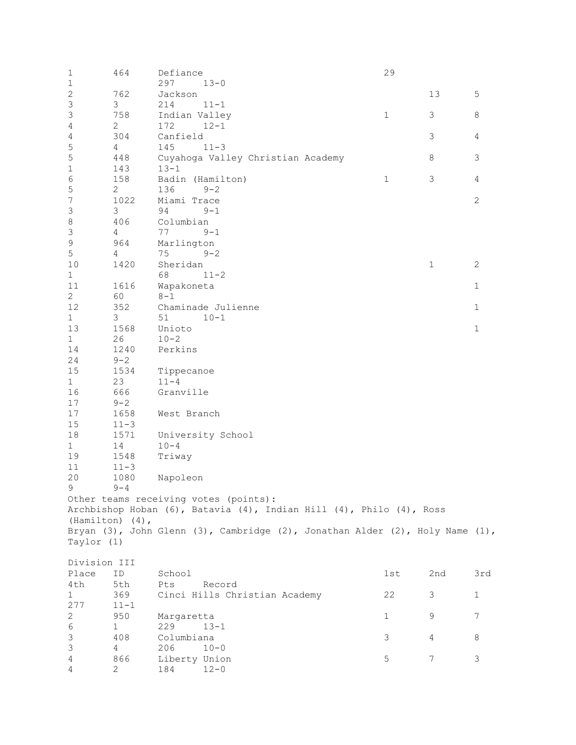| $\mathbf 1$               | 464            | Defiance                                                                     | 29           |              |                |  |  |  |
|---------------------------|----------------|------------------------------------------------------------------------------|--------------|--------------|----------------|--|--|--|
| $\mathbf{1}$              |                | 297<br>$13 - 0$                                                              |              |              |                |  |  |  |
| $\sqrt{2}$                | 762            | Jackson                                                                      |              | 13           | 5              |  |  |  |
| 3                         | 3              | 214<br>$11 - 1$                                                              |              |              |                |  |  |  |
| $\ensuremath{\mathsf{3}}$ | 758            | $\mathbf{1}$<br>Indian Valley<br>3<br>8                                      |              |              |                |  |  |  |
| 4                         | $\mathbf{2}$   | 172<br>$12 - 1$                                                              |              |              |                |  |  |  |
| 4                         | 304            | Canfield                                                                     |              | 3            | 4              |  |  |  |
| 5                         | 4              | 145<br>$11 - 3$                                                              |              |              |                |  |  |  |
| 5                         | 448            | Cuyahoga Valley Christian Academy                                            |              | $\,8\,$      | 3              |  |  |  |
| $\mathbf 1$               | 143            | $13 - 1$                                                                     |              |              |                |  |  |  |
| $\epsilon$                | 158            | Badin (Hamilton)                                                             | $\mathbf{1}$ | 3            | 4              |  |  |  |
| 5                         | 2              | 136<br>$9 - 2$                                                               |              |              |                |  |  |  |
| $\boldsymbol{7}$          | 1022           | Miami Trace                                                                  |              |              | $\overline{c}$ |  |  |  |
| $\mathsf 3$               | 3              | 94<br>$9 - 1$                                                                |              |              |                |  |  |  |
| $\,8\,$                   | 406            | Columbian                                                                    |              |              |                |  |  |  |
| $\mathsf 3$               | 4              | 77<br>$9 - 1$                                                                |              |              |                |  |  |  |
| $\mathsf 9$               | 964            | Marlington                                                                   |              |              |                |  |  |  |
| $\mathsf S$               | $\overline{4}$ | 75<br>$9 - 2$                                                                |              |              |                |  |  |  |
| 10                        | 1420           | Sheridan                                                                     |              | $\mathbf{1}$ | $\mathbf{2}$   |  |  |  |
| $1\,$                     |                | 68<br>$11 - 2$                                                               |              |              |                |  |  |  |
| 11                        | 1616           | Wapakoneta                                                                   |              |              | $\mathbf 1$    |  |  |  |
| $\mathbf{2}$              | 60             | $8 - 1$                                                                      |              |              |                |  |  |  |
| 12                        | 352            | Chaminade Julienne                                                           |              |              | $\mathbf 1$    |  |  |  |
| $\mathbf{1}$              | 3              | 51<br>$10 - 1$                                                               |              |              |                |  |  |  |
| 13                        | 1568           | Unioto                                                                       |              |              | $1\,$          |  |  |  |
| $\mathbf 1$               | 26             | $10 - 2$                                                                     |              |              |                |  |  |  |
| 14                        | 1240           | Perkins                                                                      |              |              |                |  |  |  |
| 24                        | $9 - 2$        |                                                                              |              |              |                |  |  |  |
| $15\,$                    | 1534           | Tippecanoe                                                                   |              |              |                |  |  |  |
| $\mathbf{1}$              | 23             | $11 - 4$                                                                     |              |              |                |  |  |  |
| 16                        | 666            | Granville                                                                    |              |              |                |  |  |  |
| $17$                      | $9 - 2$        |                                                                              |              |              |                |  |  |  |
| 17                        | 1658           | West Branch                                                                  |              |              |                |  |  |  |
| 15                        | $11 - 3$       |                                                                              |              |              |                |  |  |  |
| 18                        | 1571           | University School                                                            |              |              |                |  |  |  |
| $\mathbf{1}$              | 14             | $10 - 4$                                                                     |              |              |                |  |  |  |
| 19                        | 1548           | Triway                                                                       |              |              |                |  |  |  |
| 11                        | $11 - 3$       |                                                                              |              |              |                |  |  |  |
| 20                        | 1080           | Napoleon                                                                     |              |              |                |  |  |  |
| 9                         | $9 - 4$        |                                                                              |              |              |                |  |  |  |
|                           |                | Other teams receiving votes (points):                                        |              |              |                |  |  |  |
|                           |                | Archbishop Hoban (6), Batavia (4), Indian Hill (4), Philo (4), Ross          |              |              |                |  |  |  |
| (Hamilton) (4),           |                |                                                                              |              |              |                |  |  |  |
|                           |                | Bryan (3), John Glenn (3), Cambridge (2), Jonathan Alder (2), Holy Name (1), |              |              |                |  |  |  |
| Taylor (1)                |                |                                                                              |              |              |                |  |  |  |
|                           |                |                                                                              |              |              |                |  |  |  |
| Division III              |                |                                                                              |              |              |                |  |  |  |
| Place                     | ID             | School                                                                       | 1st          | 2nd          | 3rd            |  |  |  |
| 4th                       | 5th            | Pts<br>Record                                                                |              |              |                |  |  |  |
| 1                         | 369            | Cinci Hills Christian Academy                                                | 22           | 3            | 1              |  |  |  |
| 277                       | $11 - 1$       |                                                                              |              |              |                |  |  |  |
| 2                         | 950            | Margaretta                                                                   | 1            | 9            | 7              |  |  |  |
| $\epsilon$                | $\mathbf{1}$   | 229<br>$13 - 1$                                                              |              |              |                |  |  |  |
| $\ensuremath{\mathsf{3}}$ | 408            | Columbiana                                                                   | 3            | 4            | 8              |  |  |  |
| 3                         | 4              | 206<br>$10 - 0$                                                              |              |              |                |  |  |  |
| 4                         | 866            | Liberty Union                                                                | 5            | 7            | 3              |  |  |  |
| 4                         | 2              | 184<br>$12 - 0$                                                              |              |              |                |  |  |  |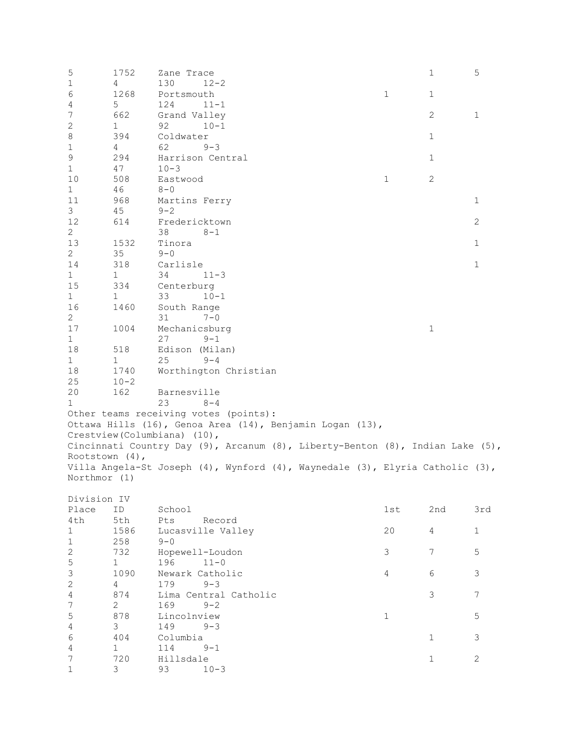| 5                 | 1752            | Zane Trace                   |                                                                               |                | $\mathbf 1$  | 5              |
|-------------------|-----------------|------------------------------|-------------------------------------------------------------------------------|----------------|--------------|----------------|
| $\mathbf{1}$      | 4               | 130                          | $12 - 2$                                                                      |                |              |                |
| 6                 | 1268            | Portsmouth                   |                                                                               | $\mathbf{1}$   | $\mathbf{1}$ |                |
| 4                 | 5               | 124                          | $11 - 1$                                                                      |                |              |                |
| 7                 | 662             | Grand Valley                 |                                                                               |                | $\mathbf{2}$ | $\mathbf{1}$   |
| $\mathbf{2}$      | 1               | 92                           | $10 - 1$                                                                      |                |              |                |
| $\,8\,$           | 394             | Coldwater                    |                                                                               |                | $\mathbf{1}$ |                |
| $\mathbf 1$       | $4\overline{ }$ | 62                           | $9 - 3$                                                                       |                |              |                |
| $\mathsf 9$       | 294             |                              | Harrison Central                                                              |                | $\mathbf 1$  |                |
| $\mathbf{1}$      | 47              | $10 - 3$                     |                                                                               |                |              |                |
| 10                | 508             | Eastwood                     |                                                                               | $\mathbf 1$    | $\mathbf{2}$ |                |
| $\mathbf{1}$      | 46              | $8 - 0$                      |                                                                               |                |              |                |
| 11                | 968             | Martins Ferry                |                                                                               |                |              | $\mathbf{1}$   |
| 3                 | 45              | $9 - 2$                      |                                                                               |                |              |                |
| 12                | 614             | Fredericktown                |                                                                               |                |              | $\mathbf{2}$   |
| $\overline{2}$    |                 | 38                           | $8 - 1$                                                                       |                |              |                |
| 13                | 1532            | Tinora                       |                                                                               |                |              | $\mathbf{1}$   |
| $\mathbf{2}$      | 35              | $9 - 0$                      |                                                                               |                |              |                |
| 14                | 318             | Carlisle                     |                                                                               |                |              | $\mathbf{1}$   |
| $\mathbf{1}$      | $\mathbf{1}$    | 34                           | $11 - 3$                                                                      |                |              |                |
| 15                | 334             | Centerburg                   |                                                                               |                |              |                |
| $\mathbf{1}$      | $\mathbf{1}$    | 33                           | $10 - 1$                                                                      |                |              |                |
| 16                |                 |                              |                                                                               |                |              |                |
|                   | 1460            | South Range                  |                                                                               |                |              |                |
| $\overline{2}$    |                 | 31                           | $7 - 0$                                                                       |                |              |                |
| 17                | 1004            | Mechanicsburg                |                                                                               |                | $\mathbf 1$  |                |
| $\mathbf{1}$      |                 | 27                           | $9 - 1$                                                                       |                |              |                |
| 18                | 518             | Edison (Milan)               |                                                                               |                |              |                |
| $\mathbf{1}$      | 1               | 25                           | $9 - 4$                                                                       |                |              |                |
| 18                | 1740            |                              | Worthington Christian                                                         |                |              |                |
| 25                | $10 - 2$        |                              |                                                                               |                |              |                |
| 20                | 162             | Barnesville                  |                                                                               |                |              |                |
| $\mathbf{1}$      |                 | 23                           | $8 - 4$                                                                       |                |              |                |
|                   |                 |                              | Other teams receiving votes (points):                                         |                |              |                |
|                   |                 |                              | Ottawa Hills (16), Genoa Area (14), Benjamin Logan (13),                      |                |              |                |
|                   |                 | Crestview (Columbiana) (10), |                                                                               |                |              |                |
|                   |                 |                              | Cincinnati Country Day (9), Arcanum (8), Liberty-Benton (8), Indian Lake (5), |                |              |                |
| Rootstown $(4)$ , |                 |                              |                                                                               |                |              |                |
|                   |                 |                              | Villa Angela-St Joseph (4), Wynford (4), Waynedale (3), Elyria Catholic (3),  |                |              |                |
| Northmor (1)      |                 |                              |                                                                               |                |              |                |
|                   |                 |                              |                                                                               |                |              |                |
| Division IV       |                 |                              |                                                                               |                |              |                |
| Place             | ID              | School                       |                                                                               | 1st            | 2nd          | 3rd            |
| 4th               | 5th             | Pts                          | Record                                                                        |                |              |                |
| $\mathbf{1}$      | 1586            |                              | Lucasville Valley                                                             | 20             | 4            | $\mathbf{1}$   |
| $1\,$             | 258             | $9 - 0$                      |                                                                               |                |              |                |
| $\mathbf{2}$      | 732             |                              | Hopewell-Loudon                                                               | 3              | 7            | 5              |
| 5                 | $\mathbf{1}$    | 196                          | $11 - 0$                                                                      |                |              |                |
| $\mathsf 3$       | 1090            | Newark Catholic              |                                                                               | $\overline{4}$ | 6            | 3              |
| $\mathbf{2}$      | 4               | 179                          | $9 - 3$                                                                       |                |              |                |
| $\sqrt{4}$        | 874             |                              | Lima Central Catholic                                                         |                | 3            | $\overline{7}$ |
| $\boldsymbol{7}$  | $\mathbf{2}$    | 169                          | $9 - 2$                                                                       |                |              |                |
| 5                 | 878             | Lincolnview                  |                                                                               | $\mathbf 1$    |              | 5              |
| $\sqrt{4}$        | 3               | 149                          | $9 - 3$                                                                       |                |              |                |
| 6                 | 404             | Columbia                     |                                                                               |                | $\mathbf 1$  | 3              |
| 4                 | $\mathbf{1}$    | 114                          | $9 - 1$                                                                       |                |              |                |
| 7                 | 720             | Hillsdale                    |                                                                               |                | $1\,$        | $\overline{c}$ |
| $\mathbf 1$       | 3               | 93                           | $10 - 3$                                                                      |                |              |                |
|                   |                 |                              |                                                                               |                |              |                |